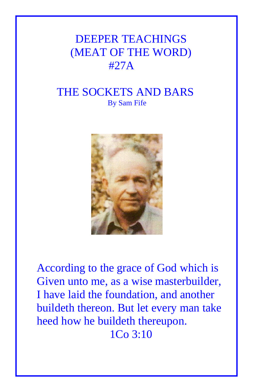## DEEPER TEACHINGS (MEAT OF THE WORD) #27A

## THE SOCKETS AND BARS By Sam Fife



According to the grace of God which is Given unto me, as a wise masterbuilder, I have laid the foundation, and another buildeth thereon. But let every man take heed how he buildeth thereupon. 1Co 3:10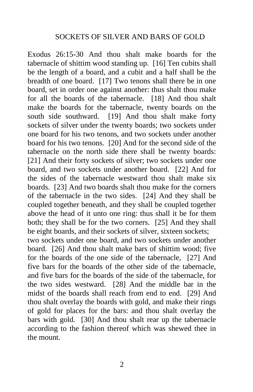Exodus 26:15-30 And thou shalt make boards for the tabernacle of shittim wood standing up. [16] Ten cubits shall be the length of a board, and a cubit and a half shall be the breadth of one board. [17] Two tenons shall there be in one board, set in order one against another: thus shalt thou make for all the boards of the tabernacle. [18] And thou shalt make the boards for the tabernacle, twenty boards on the south side southward. [19] And thou shalt make forty sockets of silver under the twenty boards; two sockets under one board for his two tenons, and two sockets under another board for his two tenons. [20] And for the second side of the tabernacle on the north side there shall be twenty boards: [21] And their forty sockets of silver; two sockets under one board, and two sockets under another board. [22] And for the sides of the tabernacle westward thou shalt make six boards. [23] And two boards shalt thou make for the corners of the tabernacle in the two sides. [24] And they shall be coupled together beneath, and they shall be coupled together above the head of it unto one ring: thus shall it be for them both; they shall be for the two corners. [25] And they shall be eight boards, and their sockets of silver, sixteen sockets; two sockets under one board, and two sockets under another board. [26] And thou shalt make bars of shittim wood; five for the boards of the one side of the tabernacle, [27] And five bars for the boards of the other side of the tabernacle, and five bars for the boards of the side of the tabernacle, for the two sides westward. [28] And the middle bar in the midst of the boards shall reach from end to end. [29] And thou shalt overlay the boards with gold, and make their rings of gold for places for the bars: and thou shalt overlay the bars with gold. [30] And thou shalt rear up the tabernacle according to the fashion thereof which was shewed thee in the mount.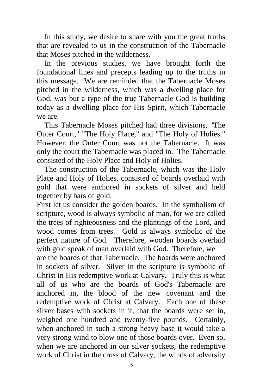In this study, we desire to share with you the great truths that are revealed to us in the construction of the Tabernacle that Moses pitched in the wilderness.

 In the previous studies, we have brought forth the foundational lines and precepts leading up to the truths in this message. We are reminded that the Tabernacle Moses pitched in the wilderness, which was a dwelling place for God, was but a type of the true Tabernacle God is building today as a dwelling place for His Spirit, which Tabernacle we are.

 This Tabernacle Moses pitched had three divisions, "The Outer Court," "The Holy Place," and "The Holy of Holies." However, the Outer Court was not the Tabernacle. It was only the court the Tabernacle was placed in. The Tabernacle consisted of the Holy Place and Holy of Holies.

 The construction of the Tabernacle, which was the Holy Place and Holy of Holies, consisted of boards overlaid with gold that were anchored in sockets of silver and held together by bars of gold.

First let us consider the golden boards. In the symbolism of scripture, wood is always symbolic of man, for we are called the trees of righteousness and the plantings of the Lord, and wood comes from trees. Gold is always symbolic of the perfect nature of God. Therefore, wooden boards overlaid with gold speak of man overlaid with God. Therefore, we

are the boards of that Tabernacle. The boards were anchored in sockets of silver. Silver in the scripture is symbolic of Christ in His redemptive work at Calvary. Truly this is what all of us who are the boards of God's Tabernacle are anchored in, the blood of the new covenant and the redemptive work of Christ at Calvary. Each one of these silver bases with sockets in it, that the boards were set in, weighed one hundred and twenty-five pounds. Certainly, when anchored in such a strong heavy base it would take a very strong wind to blow one of those boards over. Even so, when we are anchored in our silver sockets, the redemptive work of Christ in the cross of Calvary, the winds of adversity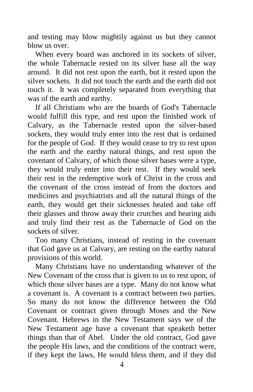and testing may blow mightily against us but they cannot blow us over.

 When every board was anchored in its sockets of silver, the whole Tabernacle rested on its silver base all the way around. It did not rest upon the earth, but it rested upon the silver sockets. It did not touch the earth and the earth did not touch it. It was completely separated from everything that was of the earth and earthy.

 If all Christians who are the boards of God's Tabernacle would fulfill this type, and rest upon the finished work of Calvary, as the Tabernacle rested upon the silver-based sockets, they would truly enter into the rest that is ordained for the people of God. If they would cease to try to rest upon the earth and the earthy natural things, and rest upon the covenant of Calvary, of which those silver bases were a type, they would truly enter into their rest. If they would seek their rest in the redemptive work of Christ in the cross and the covenant of the cross instead of from the doctors and medicines and psychiatrists and all the natural things of the earth, they would get their sicknesses healed and take off their glasses and throw away their crutches and hearing aids and truly find their rest as the Tabernacle of God on the sockets of silver.

 Too many Christians, instead of resting in the covenant that God gave us at Calvary, are resting on the earthy natural provisions of this world.

 Many Christians have no understanding whatever of the New Covenant of the cross that is given to us to rest upon, of which those silver bases are a type. Many do not know what a covenant is. A covenant is a contract between two parties. So many do not know the difference between the Old Covenant or contract given through Moses and the New Covenant. Hebrews in the New Testament says we of the New Testament age have a covenant that speaketh better things than that of Abel. Under the old contract, God gave the people His laws, and the conditions of the contract were, if they kept the laws, He would bless them, and if they did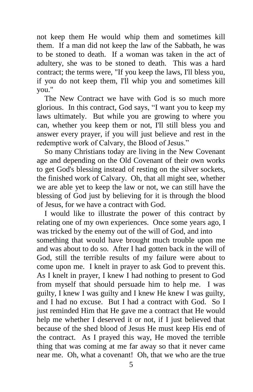not keep them He would whip them and sometimes kill them. If a man did not keep the law of the Sabbath, he was to be stoned to death. If a woman was taken in the act of adultery, she was to be stoned to death. This was a hard contract; the terms were, "If you keep the laws, I'll bless you, if you do not keep them, I'll whip you and sometimes kill you."

 The New Contract we have with God is so much more glorious. In this contract, God says, "I want you to keep my laws ultimately. But while you are growing to where you can, whether you keep them or not, I'll still bless you and answer every prayer, if you will just believe and rest in the redemptive work of Calvary, the Blood of Jesus."

 So many Christians today are living in the New Covenant age and depending on the Old Covenant of their own works to get God's blessing instead of resting on the silver sockets, the finished work of Calvary. Oh, that all might see, whether we are able yet to keep the law or not, we can still have the blessing of God just by believing for it is through the blood of Jesus, for we have a contract with God.

 I would like to illustrate the power of this contract by relating one of my own experiences. Once some years ago, I was tricked by the enemy out of the will of God, and into something that would have brought much trouble upon me and was about to do so. After I had gotten back in the will of God, still the terrible results of my failure were about to come upon me. I knelt in prayer to ask God to prevent this. As I knelt in prayer, I knew I had nothing to present to God from myself that should persuade him to help me. I was guilty, I knew I was guilty and I knew He knew I was guilty, and I had no excuse. But I had a contract with God. So I just reminded Him that He gave me a contract that He would help me whether I deserved it or not, if I just believed that because of the shed blood of Jesus He must keep His end of the contract. As I prayed this way, He moved the terrible thing that was coming at me far away so that it never came near me. Oh, what a covenant! Oh, that we who are the true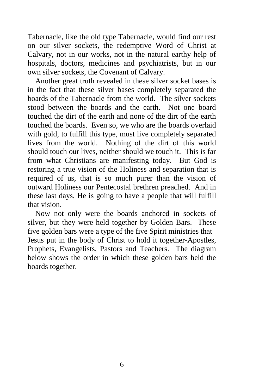Tabernacle, like the old type Tabernacle, would find our rest on our silver sockets, the redemptive Word of Christ at Calvary, not in our works, not in the natural earthy help of hospitals, doctors, medicines and psychiatrists, but in our own silver sockets, the Covenant of Calvary.

 Another great truth revealed in these silver socket bases is in the fact that these silver bases completely separated the boards of the Tabernacle from the world. The silver sockets stood between the boards and the earth. Not one board touched the dirt of the earth and none of the dirt of the earth touched the boards. Even so, we who are the boards overlaid with gold, to fulfill this type, must live completely separated lives from the world. Nothing of the dirt of this world should touch our lives, neither should we touch it. This is far from what Christians are manifesting today. But God is restoring a true vision of the Holiness and separation that is required of us, that is so much purer than the vision of outward Holiness our Pentecostal brethren preached. And in these last days, He is going to have a people that will fulfill that vision.

 Now not only were the boards anchored in sockets of silver, but they were held together by Golden Bars. These five golden bars were a type of the five Spirit ministries that Jesus put in the body of Christ to hold it together-Apostles, Prophets, Evangelists, Pastors and Teachers. The diagram below shows the order in which these golden bars held the boards together.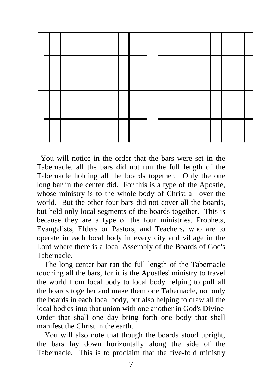

 You will notice in the order that the bars were set in the Tabernacle, all the bars did not run the full length of the Tabernacle holding all the boards together. Only the one long bar in the center did. For this is a type of the Apostle, whose ministry is to the whole body of Christ all over the world. But the other four bars did not cover all the boards, but held only local segments of the boards together. This is because they are a type of the four ministries, Prophets, Evangelists, Elders or Pastors, and Teachers, who are to operate in each local body in every city and village in the Lord where there is a local Assembly of the Boards of God's Tabernacle.

 The long center bar ran the full length of the Tabernacle touching all the bars, for it is the Apostles' ministry to travel the world from local body to local body helping to pull all the boards together and make them one Tabernacle, not only the boards in each local body, but also helping to draw all the local bodies into that union with one another in God's Divine Order that shall one day bring forth one body that shall manifest the Christ in the earth.

 You will also note that though the boards stood upright, the bars lay down horizontally along the side of the Tabernacle. This is to proclaim that the five-fold ministry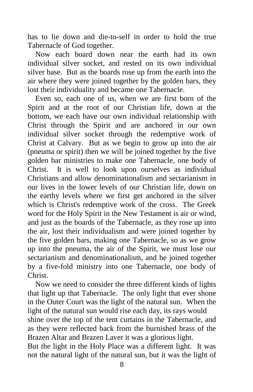has to lie down and die-to-self in order to hold the true Tabernacle of God together.

 Now each board down near the earth had its own individual silver socket, and rested on its own individual silver base. But as the boards rose up from the earth into the air where they were joined together by the golden bars, they lost their individuality and became one Tabernacle.

 Even so, each one of us, when we are first born of the Spirit and at the root of our Christian life, down at the bottom, we each have our own individual relationship with Christ through the Spirit and are anchored in our own individual silver socket through the redemptive work of Christ at Calvary. But as we begin to grow up into the air (pneuma or spirit) then we will be joined together by the five golden bar ministries to make one Tabernacle, one body of Christ. It is well to look upon ourselves as individual Christians and allow denominationalism and sectarianism in our lives in the lower levels of our Christian life, down on the earthy levels where we first get anchored in the silver which is Christ's redemptive work of the cross. The Greek word for the Holy Spirit in the New Testament is air or wind, and just as the boards of the Tabernacle, as they rose up into the air, lost their individualism and were joined together by the five golden bars, making one Tabernacle, so as we grow up into the pneuma, the air of the Spirit, we must lose our sectarianism and denominationalism, and be joined together by a five-fold ministry into one Tabernacle, one body of Christ.

 Now we need to consider the three different kinds of lights that light up that Tabernacle. The only light that ever shone in the Outer Court was the light of the natural sun. When the light of the natural sun would rise each day, its rays would shine over the top of the tent curtains in the Tabernacle, and as they were reflected back from the burnished brass of the Brazen Altar and Brazen Laver it was a glorious light.

But the light in the Holy Place was a different light. It was not the natural light of the natural sun, but it was the light of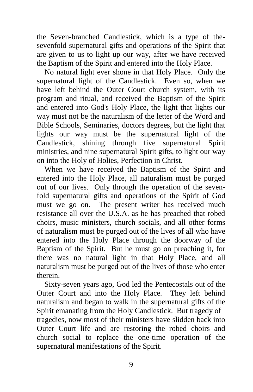the Seven-branched Candlestick, which is a type of thesevenfold supernatural gifts and operations of the Spirit that are given to us to light up our way, after we have received the Baptism of the Spirit and entered into the Holy Place.

 No natural light ever shone in that Holy Place. Only the supernatural light of the Candlestick. Even so, when we have left behind the Outer Court church system, with its program and ritual, and received the Baptism of the Spirit and entered into God's Holy Place, the light that lights our way must not be the naturalism of the letter of the Word and Bible Schools, Seminaries, doctors degrees, but the light that lights our way must be the supernatural light of the Candlestick, shining through five supernatural Spirit ministries, and nine supernatural Spirit gifts, to light our way on into the Holy of Holies, Perfection in Christ.

 When we have received the Baptism of the Spirit and entered into the Holy Place, all naturalism must be purged out of our lives. Only through the operation of the sevenfold supernatural gifts and operations of the Spirit of God must we go on. The present writer has received much resistance all over the U.S.A. as he has preached that robed choirs, music ministers, church socials, and all other forms of naturalism must be purged out of the lives of all who have entered into the Holy Place through the doorway of the Baptism of the Spirit. But he must go on preaching it, for there was no natural light in that Holy Place, and all naturalism must be purged out of the lives of those who enter therein.

 Sixty-seven years ago, God led the Pentecostals out of the Outer Court and into the Holy Place. They left behind naturalism and began to walk in the supernatural gifts of the Spirit emanating from the Holy Candlestick. But tragedy of tragedies, now most of their ministers have slidden back into Outer Court life and are restoring the robed choirs and church social to replace the one-time operation of the supernatural manifestations of the Spirit.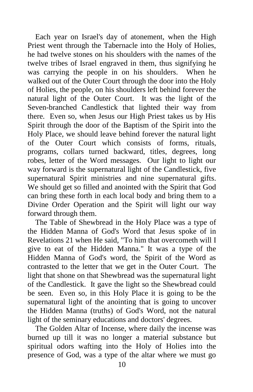Each year on Israel's day of atonement, when the High Priest went through the Tabernacle into the Holy of Holies, he had twelve stones on his shoulders with the names of the twelve tribes of Israel engraved in them, thus signifying he was carrying the people in on his shoulders. When he walked out of the Outer Court through the door into the Holy of Holies, the people, on his shoulders left behind forever the natural light of the Outer Court. It was the light of the Seven-branched Candlestick that lighted their way from there. Even so, when Jesus our High Priest takes us by His Spirit through the door of the Baptism of the Spirit into the Holy Place, we should leave behind forever the natural light of the Outer Court which consists of forms, rituals, programs, collars turned backward, titles, degrees, long robes, letter of the Word messages. Our light to light our way forward is the supernatural light of the Candlestick, five supernatural Spirit ministries and nine supernatural gifts. We should get so filled and anointed with the Spirit that God can bring these forth in each local body and bring them to a Divine Order Operation and the Spirit will light our way forward through them.

 The Table of Shewbread in the Holy Place was a type of the Hidden Manna of God's Word that Jesus spoke of in Revelations 21 when He said, "To him that overcometh will I give to eat of the Hidden Manna." It was a type of the Hidden Manna of God's word, the Spirit of the Word as contrasted to the letter that we get in the Outer Court. The light that shone on that Shewbread was the supernatural light of the Candlestick. It gave the light so the Shewbread could be seen. Even so, in this Holy Place it is going to be the supernatural light of the anointing that is going to uncover the Hidden Manna (truths) of God's Word, not the natural light of the seminary educations and doctors' degrees.

 The Golden Altar of Incense, where daily the incense was burned up till it was no longer a material substance but spiritual odors wafting into the Holy of Holies into the presence of God, was a type of the altar where we must go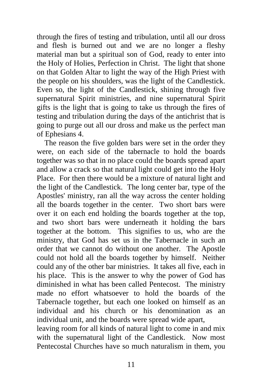through the fires of testing and tribulation, until all our dross and flesh is burned out and we are no longer a fleshy material man but a spiritual son of God, ready to enter into the Holy of Holies, Perfection in Christ. The light that shone on that Golden Altar to light the way of the High Priest with the people on his shoulders, was the light of the Candlestick. Even so, the light of the Candlestick, shining through five supernatural Spirit ministries, and nine supernatural Spirit gifts is the light that is going to take us through the fires of testing and tribulation during the days of the antichrist that is going to purge out all our dross and make us the perfect man of Ephesians 4.

 The reason the five golden bars were set in the order they were, on each side of the tabernacle to hold the boards together was so that in no place could the boards spread apart and allow a crack so that natural light could get into the Holy Place. For then there would be a mixture of natural light and the light of the Candlestick. The long center bar, type of the Apostles' ministry, ran all the way across the center holding all the boards together in the center. Two short bars were over it on each end holding the boards together at the top, and two short bars were underneath it holding the bars together at the bottom. This signifies to us, who are the ministry, that God has set us in the Tabernacle in such an order that we cannot do without one another. The Apostle could not hold all the boards together by himself. Neither could any of the other bar ministries. It takes all five, each in his place. This is the answer to why the power of God has diminished in what has been called Pentecost. The ministry made no effort whatsoever to hold the boards of the Tabernacle together, but each one looked on himself as an individual and his church or his denomination as an individual unit, and the boards were spread wide apart,

leaving room for all kinds of natural light to come in and mix with the supernatural light of the Candlestick. Now most Pentecostal Churches have so much naturalism in them, you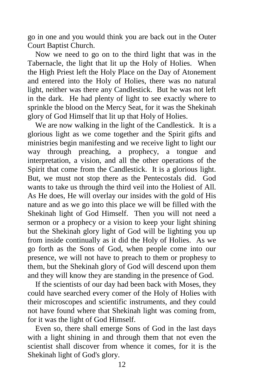go in one and you would think you are back out in the Outer Court Baptist Church.

 Now we need to go on to the third light that was in the Tabernacle, the light that lit up the Holy of Holies. When the High Priest left the Holy Place on the Day of Atonement and entered into the Holy of Holies, there was no natural light, neither was there any Candlestick. But he was not left in the dark. He had plenty of light to see exactly where to sprinkle the blood on the Mercy Seat, for it was the Shekinah glory of God Himself that lit up that Holy of Holies.

 We are now walking in the light of the Candlestick. It is a glorious light as we come together and the Spirit gifts and ministries begin manifesting and we receive light to light our way through preaching, a prophecy, a tongue and interpretation, a vision, and all the other operations of the Spirit that come from the Candlestick. It is a glorious light. But, we must not stop there as the Pentecostals did. God wants to take us through the third veil into the Holiest of All. As He does, He will overlay our insides with the gold of His nature and as we go into this place we will be filled with the Shekinah light of God Himself. Then you will not need a sermon or a prophecy or a vision to keep your light shining but the Shekinah glory light of God will be lighting you up from inside continually as it did the Holy of Holies. As we go forth as the Sons of God, when people come into our presence, we will not have to preach to them or prophesy to them, but the Shekinah glory of God will descend upon them and they will know they are standing in the presence of God.

 If the scientists of our day had been back with Moses, they could have searched every comer of the Holy of Holies with their microscopes and scientific instruments, and they could not have found where that Shekinah light was coming from, for it was the light of God Himself.

 Even so, there shall emerge Sons of God in the last days with a light shining in and through them that not even the scientist shall discover from whence it comes, for it is the Shekinah light of God's glory.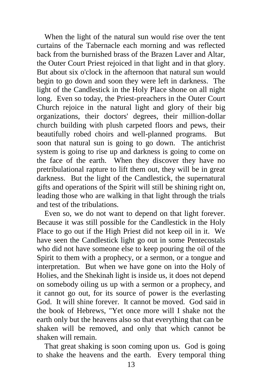When the light of the natural sun would rise over the tent curtains of the Tabernacle each morning and was reflected back from the burnished brass of the Brazen Laver and Altar, the Outer Court Priest rejoiced in that light and in that glory. But about six o'clock in the afternoon that natural sun would begin to go down and soon they were left in darkness. The light of the Candlestick in the Holy Place shone on all night long. Even so today, the Priest-preachers in the Outer Court Church rejoice in the natural light and glory of their big organizations, their doctors' degrees, their million-dollar church building with plush carpeted floors and pews, their beautifully robed choirs and well-planned programs. But soon that natural sun is going to go down. The antichrist system is going to rise up and darkness is going to come on the face of the earth. When they discover they have no pretribulational rapture to lift them out, they will be in great darkness. But the light of the Candlestick, the supernatural gifts and operations of the Spirit will still be shining right on, leading those who are walking in that light through the trials and test of the tribulations.

 Even so, we do not want to depend on that light forever. Because it was still possible for the Candlestick in the Holy Place to go out if the High Priest did not keep oil in it. We have seen the Candlestick light go out in some Pentecostals who did not have someone else to keep pouring the oil of the Spirit to them with a prophecy, or a sermon, or a tongue and interpretation. But when we have gone on into the Holy of Holies, and the Shekinah light is inside us, it does not depend on somebody oiling us up with a sermon or a prophecy, and it cannot go out, for its source of power is the everlasting God. It will shine forever. It cannot be moved. God said in the book of Hebrews, "Yet once more will I shake not the earth only but the heavens also so that everything that can be shaken will be removed, and only that which cannot be shaken will remain.

 That great shaking is soon coming upon us. God is going to shake the heavens and the earth. Every temporal thing